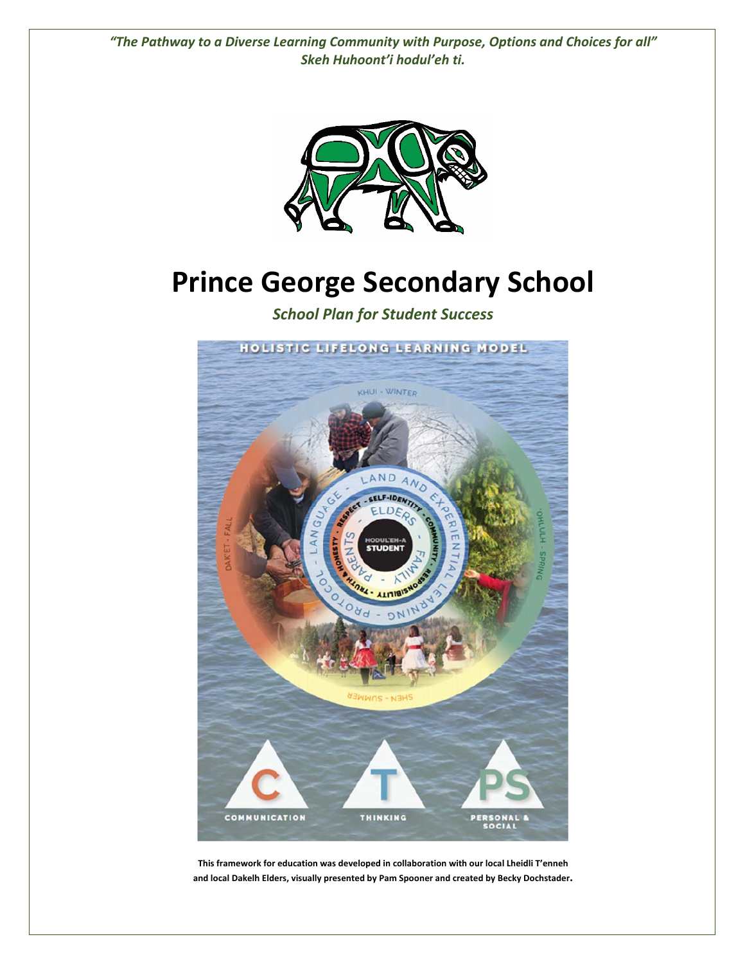

# **Prince George Secondary School**

*School Plan for Student Success* 



**This framework for education was developed in collaboration with our local Lheidli T'enneh and local Dakelh Elders, visually presented by Pam Spooner and created by Becky Dochstader.**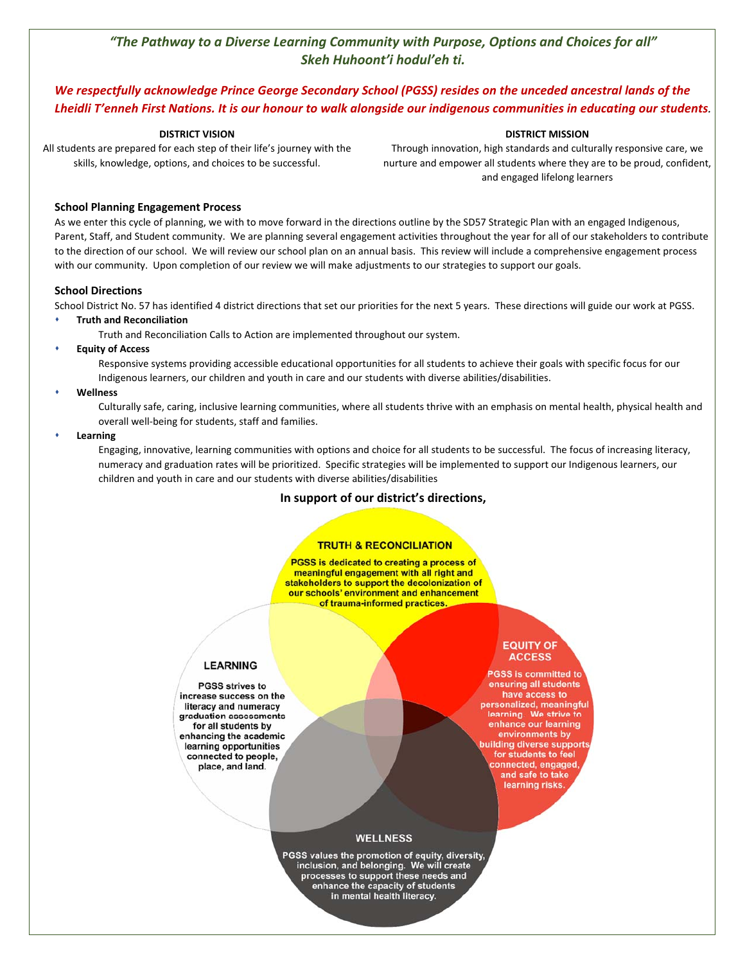## *We respectfully acknowledge Prince George Secondary School (PGSS) resides on the unceded ancestral lands of the Lheidli T'enneh First Nations. It is our honour to walk alongside our indigenous communities in educating our students.*

#### **DISTRICT VISION**

All students are prepared for each step of their life's journey with the skills, knowledge, options, and choices to be successful.

#### **DISTRICT MISSION**

Through innovation, high standards and culturally responsive care, we nurture and empower all students where they are to be proud, confident, and engaged lifelong learners

#### **School Planning Engagement Process**

As we enter this cycle of planning, we with to move forward in the directions outline by the SD57 Strategic Plan with an engaged Indigenous, Parent, Staff, and Student community. We are planning several engagement activities throughout the year for all of our stakeholders to contribute to the direction of our school. We will review our school plan on an annual basis. This review will include a comprehensive engagement process with our community. Upon completion of our review we will make adjustments to our strategies to support our goals.

#### **School Directions**

School District No. 57 has identified 4 district directions that set our priorities for the next 5 years. These directions will guide our work at PGSS.

#### **Truth and Reconciliation**

- Truth and Reconciliation Calls to Action are implemented throughout our system.
- **Equity of Access**

Responsive systems providing accessible educational opportunities for all students to achieve their goals with specific focus for our Indigenous learners, our children and youth in care and our students with diverse abilities/disabilities.

#### **Wellness**

Culturally safe, caring, inclusive learning communities, where all students thrive with an emphasis on mental health, physical health and overall well‐being for students, staff and families.

#### **Learning**

Engaging, innovative, learning communities with options and choice for all students to be successful. The focus of increasing literacy, numeracy and graduation rates will be prioritized. Specific strategies will be implemented to support our Indigenous learners, our children and youth in care and our students with diverse abilities/disabilities

#### **In support of our district's directions,**

#### **TRUTH & RECONCILIATION**

**PGSS is dedicated to creating a process of** meaningful engagement with all right and stakeholders to support the decolonization of our schools' environment and enhancement of trauma-informed practices.

#### **LEARNING**

**PGSS strives to** increase success on the literacy and numeracy graduation assessments for all students by enhancing the academic learning opportunities connected to people. place, and land.

## **EQUITY OF ACCESS**

**PGSS is committed to** ensuring all students have access to personalized, meaningful learning. We strive to<br>enhance our learning environments by **building diverse supports** for students to feel onnected, engaged and safe to take learning risks.

#### **WELLNESS**

PGSS values the promotion of equity, diversity, inclusion, and belonging. We will create processes to support these needs and enhance the capacity of students in mental health literacy.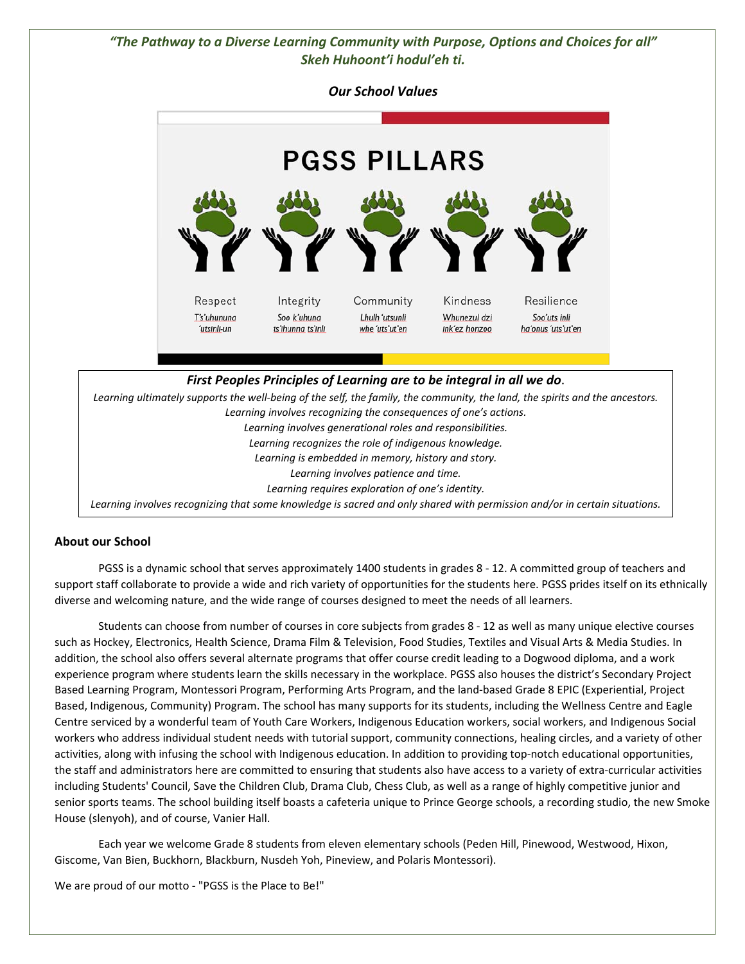*Our School Values* 



*First Peoples Principles of Learning are to be integral in all we do*.

*Learning ultimately supports the well‐being of the self, the family, the community, the land, the spirits and the ancestors. Learning involves recognizing the consequences of one's actions. Learning involves generational roles and responsibilities. Learning recognizes the role of indigenous knowledge. Learning is embedded in memory, history and story. Learning involves patience and time. Learning requires exploration of one's identity. Learning involves recognizing that some knowledge is sacred and only shared with permission and/or in certain situations.* 

## **About our School**

PGSS is a dynamic school that serves approximately 1400 students in grades 8 ‐ 12. A committed group of teachers and support staff collaborate to provide a wide and rich variety of opportunities for the students here. PGSS prides itself on its ethnically diverse and welcoming nature, and the wide range of courses designed to meet the needs of all learners.

Students can choose from number of courses in core subjects from grades 8 ‐ 12 as well as many unique elective courses such as Hockey, Electronics, Health Science, Drama Film & Television, Food Studies, Textiles and Visual Arts & Media Studies. In addition, the school also offers several alternate programs that offer course credit leading to a Dogwood diploma, and a work experience program where students learn the skills necessary in the workplace. PGSS also houses the district's Secondary Project Based Learning Program, Montessori Program, Performing Arts Program, and the land‐based Grade 8 EPIC (Experiential, Project Based, Indigenous, Community) Program. The school has many supports for its students, including the Wellness Centre and Eagle Centre serviced by a wonderful team of Youth Care Workers, Indigenous Education workers, social workers, and Indigenous Social workers who address individual student needs with tutorial support, community connections, healing circles, and a variety of other activities, along with infusing the school with Indigenous education. In addition to providing top‐notch educational opportunities, the staff and administrators here are committed to ensuring that students also have access to a variety of extra-curricular activities including Students' Council, Save the Children Club, Drama Club, Chess Club, as well as a range of highly competitive junior and senior sports teams. The school building itself boasts a cafeteria unique to Prince George schools, a recording studio, the new Smoke House (slenyoh), and of course, Vanier Hall.

Each year we welcome Grade 8 students from eleven elementary schools (Peden Hill, Pinewood, Westwood, Hixon, Giscome, Van Bien, Buckhorn, Blackburn, Nusdeh Yoh, Pineview, and Polaris Montessori).

We are proud of our motto ‐ "PGSS is the Place to Be!"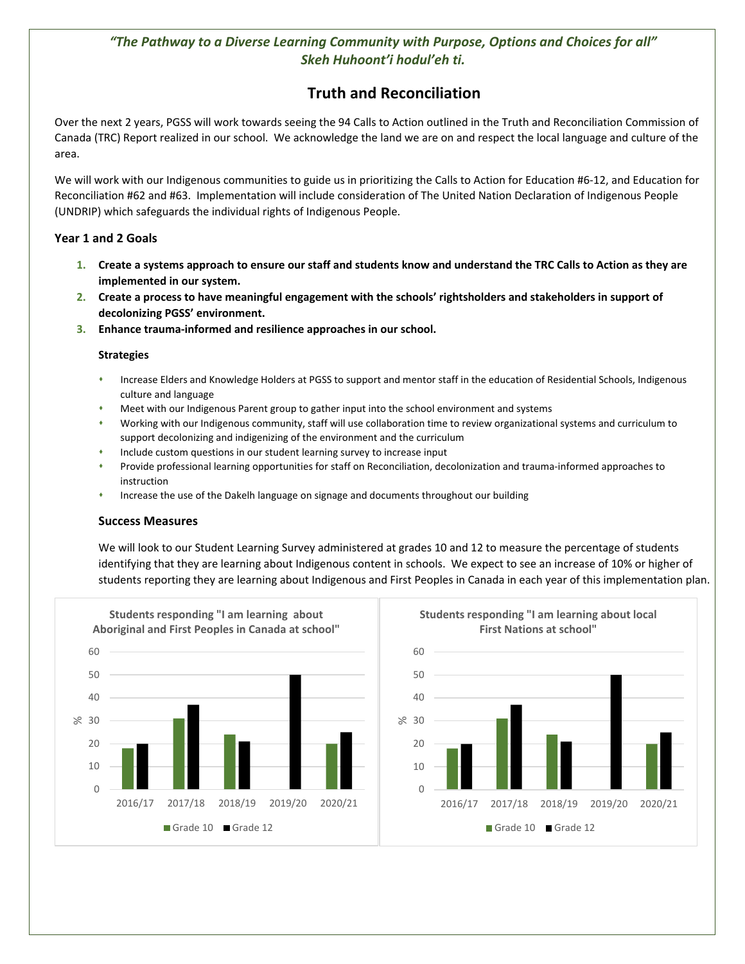# **Truth and Reconciliation**

Over the next 2 years, PGSS will work towards seeing the 94 Calls to Action outlined in the Truth and Reconciliation Commission of Canada (TRC) Report realized in our school. We acknowledge the land we are on and respect the local language and culture of the area.

We will work with our Indigenous communities to guide us in prioritizing the Calls to Action for Education #6-12, and Education for Reconciliation #62 and #63. Implementation will include consideration of The United Nation Declaration of Indigenous People (UNDRIP) which safeguards the individual rights of Indigenous People.

## **Year 1 and 2 Goals**

- **1. Create a systems approach to ensure our staff and students know and understand the TRC Calls to Action as they are implemented in our system.**
- **2. Create a process to have meaningful engagement with the schools' rightsholders and stakeholders in support of decolonizing PGSS' environment.**
- **3. Enhance trauma‐informed and resilience approaches in our school.**

## **Strategies**

- Increase Elders and Knowledge Holders at PGSS to support and mentor staff in the education of Residential Schools, Indigenous culture and language
- Meet with our Indigenous Parent group to gather input into the school environment and systems
- Working with our Indigenous community, staff will use collaboration time to review organizational systems and curriculum to support decolonizing and indigenizing of the environment and the curriculum
- Include custom questions in our student learning survey to increase input
- Provide professional learning opportunities for staff on Reconciliation, decolonization and trauma‐informed approaches to instruction
- Increase the use of the Dakelh language on signage and documents throughout our building

## **Success Measures**

We will look to our Student Learning Survey administered at grades 10 and 12 to measure the percentage of students identifying that they are learning about Indigenous content in schools. We expect to see an increase of 10% or higher of students reporting they are learning about Indigenous and First Peoples in Canada in each year of this implementation plan.

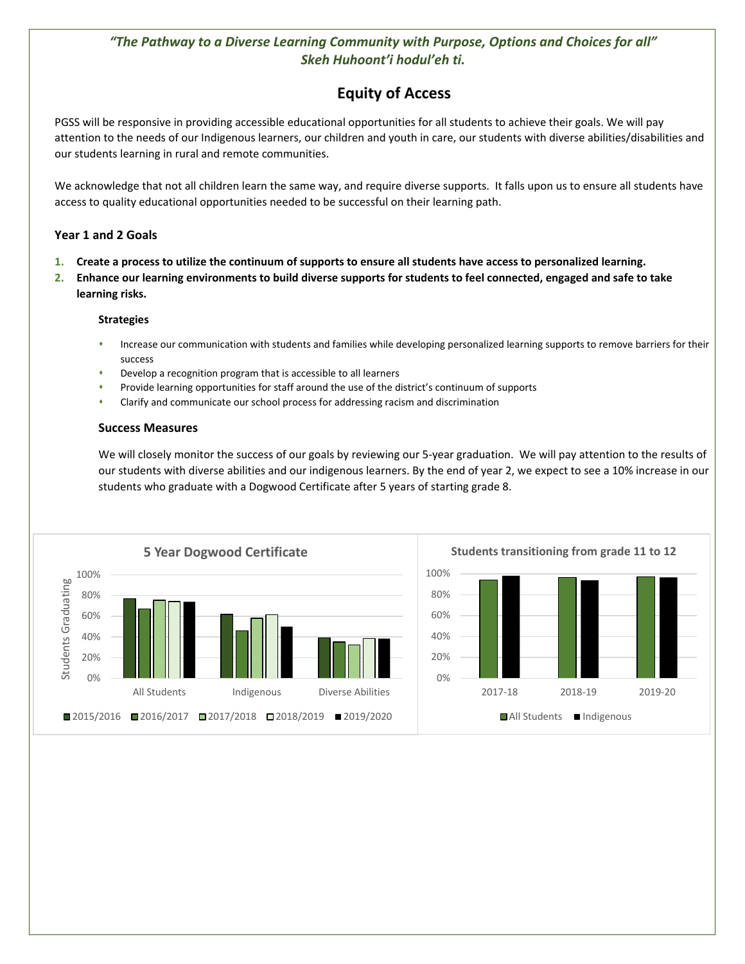# **Equity of Access**

PGSS will be responsive in providing accessible educational opportunities for all students to achieve their goals. We will pay attention to the needs of our Indigenous learners, our children and youth in care, our students with diverse abilities/disabilities and our students learning in rural and remote communities.

We acknowledge that not all children learn the same way, and require diverse supports. It falls upon us to ensure all students have access to quality educational opportunities needed to be successful on their learning path.

## **Year 1 and 2 Goals**

- **1. Create a process to utilize the continuum of supports to ensure all students have access to personalized learning.**
- **2. Enhance our learning environments to build diverse supports for students to feel connected, engaged and safe to take learning risks.**

### **Strategies**

- Increase our communication with students and families while developing personalized learning supports to remove barriers for their success
- Develop a recognition program that is accessible to all learners
- Provide learning opportunities for staff around the use of the district's continuum of supports
- Clarify and communicate our school process for addressing racism and discrimination

### **Success Measures**

We will closely monitor the success of our goals by reviewing our 5-year graduation. We will pay attention to the results of our students with diverse abilities and our indigenous learners. By the end of year 2, we expect to see a 10% increase in our students who graduate with a Dogwood Certificate after 5 years of starting grade 8.



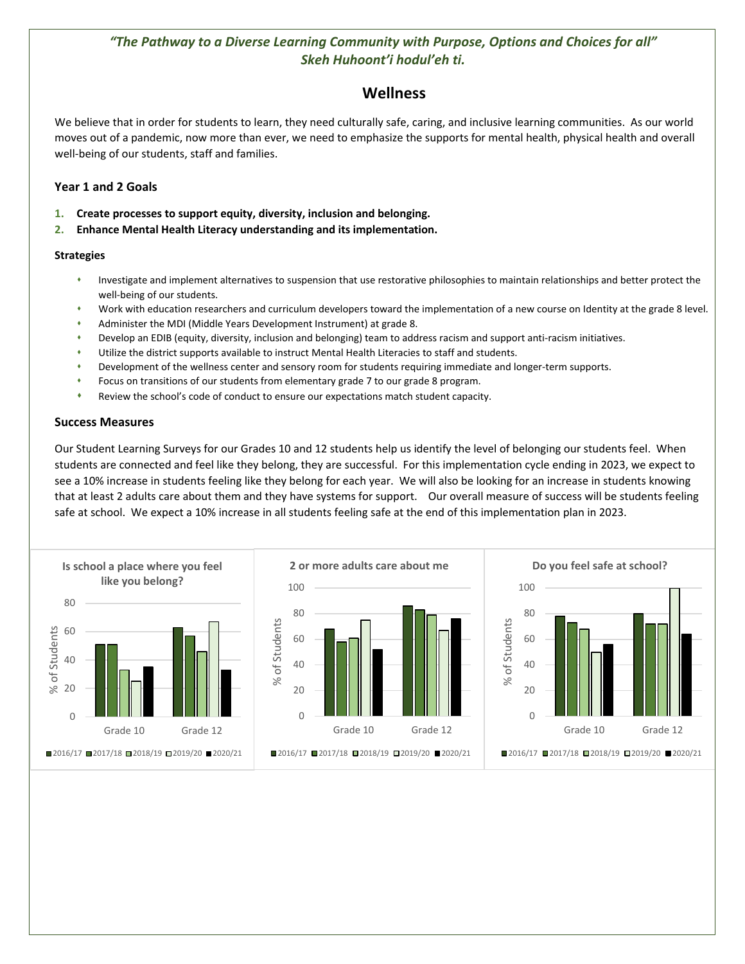# **Wellness**

We believe that in order for students to learn, they need culturally safe, caring, and inclusive learning communities. As our world moves out of a pandemic, now more than ever, we need to emphasize the supports for mental health, physical health and overall well-being of our students, staff and families.

## **Year 1 and 2 Goals**

- **1. Create processes to support equity, diversity, inclusion and belonging.**
- **2. Enhance Mental Health Literacy understanding and its implementation.**

#### **Strategies**

- Investigate and implement alternatives to suspension that use restorative philosophies to maintain relationships and better protect the well‐being of our students.
- Work with education researchers and curriculum developers toward the implementation of a new course on Identity at the grade 8 level.
- Administer the MDI (Middle Years Development Instrument) at grade 8.
- Develop an EDIB (equity, diversity, inclusion and belonging) team to address racism and support anti-racism initiatives.
- Utilize the district supports available to instruct Mental Health Literacies to staff and students.
- Development of the wellness center and sensory room for students requiring immediate and longer‐term supports.
- Focus on transitions of our students from elementary grade 7 to our grade 8 program.
- Review the school's code of conduct to ensure our expectations match student capacity.

### **Success Measures**

Our Student Learning Surveys for our Grades 10 and 12 students help us identify the level of belonging our students feel. When students are connected and feel like they belong, they are successful. For this implementation cycle ending in 2023, we expect to see a 10% increase in students feeling like they belong for each year. We will also be looking for an increase in students knowing that at least 2 adults care about them and they have systems for support. Our overall measure of success will be students feeling safe at school. We expect a 10% increase in all students feeling safe at the end of this implementation plan in 2023.